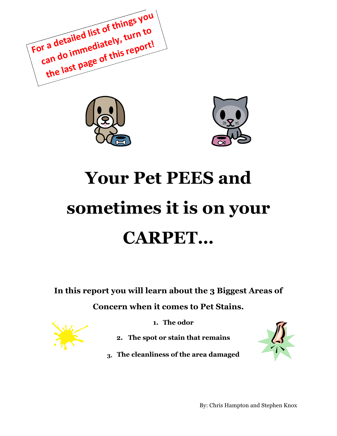For a detailed list of things you can do immediately, turn to the last page of this report!





# **Your Pet PEES and sometimes it is on your CARPET…**

**In this report you will learn about the 3 Biggest Areas of Concern when it comes to Pet Stains.**



- **1. The odor**
- **2. The spot or stain that remains**
- **3. The cleanliness of the area damaged**

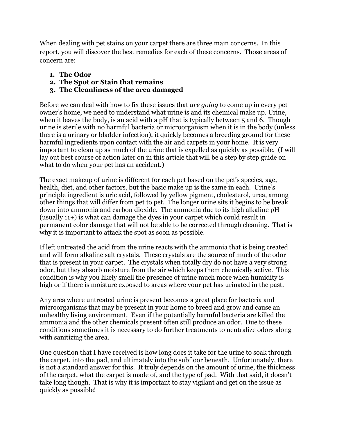When dealing with pet stains on your carpet there are three main concerns. In this report, you will discover the best remedies for each of these concerns. Those areas of concern are:

- **1. The Odor**
- **2. The Spot or Stain that remains**
- **3. The Cleanliness of the area damaged**

Before we can deal with how to fix these issues that *are going* to come up in every pet owner's home, we need to understand what urine is and its chemical make up. Urine, when it leaves the body, is an acid with a pH that is typically between 5 and 6. Though urine is sterile with no harmful bacteria or microorganism when it is in the body (unless there is a urinary or bladder infection), it quickly becomes a breeding ground for these harmful ingredients upon contact with the air and carpets in your home. It is very important to clean up as much of the urine that is expelled as quickly as possible. (I will lay out best course of action later on in this article that will be a step by step guide on what to do when your pet has an accident.)

The exact makeup of urine is different for each pet based on the pet's species, age, health, diet, and other factors, but the basic make up is the same in each. Urine's principle ingredient is uric acid, followed by yellow pigment, cholesterol, urea, among other things that will differ from pet to pet. The longer urine sits it begins to be break down into ammonia and carbon dioxide. The ammonia due to its high alkaline pH (usually 11+) is what can damage the dyes in your carpet which could result in permanent color damage that will not be able to be corrected through cleaning. That is why it is important to attack the spot as soon as possible.

If left untreated the acid from the urine reacts with the ammonia that is being created and will form alkaline salt crystals. These crystals are the source of much of the odor that is present in your carpet. The crystals when totally dry do not have a very strong odor, but they absorb moisture from the air which keeps them chemically active. This condition is why you likely smell the presence of urine much more when humidity is high or if there is moisture exposed to areas where your pet has urinated in the past.

Any area where untreated urine is present becomes a great place for bacteria and microorganisms that may be present in your home to breed and grow and cause an unhealthy living environment. Even if the potentially harmful bacteria are killed the ammonia and the other chemicals present often still produce an odor. Due to these conditions sometimes it is necessary to do further treatments to neutralize odors along with sanitizing the area.

One question that I have received is how long does it take for the urine to soak through the carpet, into the pad, and ultimately into the subfloor beneath. Unfortunately, there is not a standard answer for this. It truly depends on the amount of urine, the thickness of the carpet, what the carpet is made of, and the type of pad. With that said, it doesn't take long though. That is why it is important to stay vigilant and get on the issue as quickly as possible!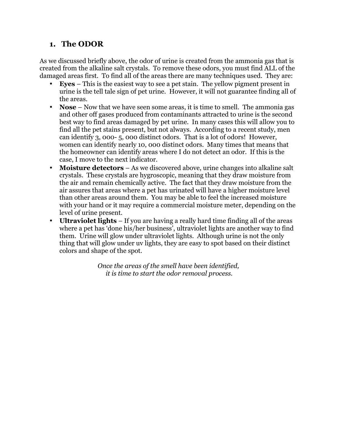### **1. The ODOR**

As we discussed briefly above, the odor of urine is created from the ammonia gas that is created from the alkaline salt crystals. To remove these odors, you must find ALL of the damaged areas first. To find all of the areas there are many techniques used. They are:

- **Eyes** This is the easiest way to see a pet stain. The yellow pigment present in urine is the tell tale sign of pet urine. However, it will not guarantee finding all of the areas.
- **Nose** Now that we have seen some areas, it is time to smell. The ammonia gas and other off gases produced from contaminants attracted to urine is the second best way to find areas damaged by pet urine. In many cases this will allow you to find all the pet stains present, but not always. According to a recent study, men can identify 3, 000- 5, 000 distinct odors. That is a lot of odors! However, women can identify nearly 10, 000 distinct odors. Many times that means that the homeowner can identify areas where I do not detect an odor. If this is the case, I move to the next indicator.
- **Moisture detectors** As we discovered above, urine changes into alkaline salt crystals. These crystals are hygroscopic, meaning that they draw moisture from the air and remain chemically active. The fact that they draw moisture from the air assures that areas where a pet has urinated will have a higher moisture level than other areas around them. You may be able to feel the increased moisture with your hand or it may require a commercial moisture meter, depending on the level of urine present.
- **Ultraviolet lights** If you are having a really hard time finding all of the areas where a pet has 'done his/her business', ultraviolet lights are another way to find them. Urine will glow under ultraviolet lights. Although urine is not the only thing that will glow under uv lights, they are easy to spot based on their distinct colors and shape of the spot.

*Once the areas of the smell have been identified, it is time to start the odor removal process.*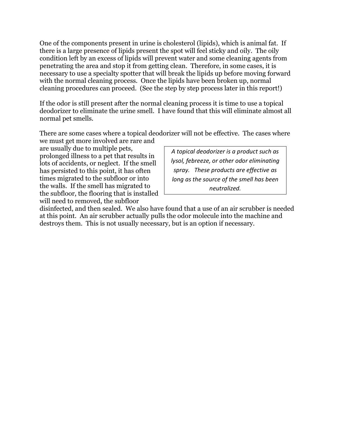One of the components present in urine is cholesterol (lipids), which is animal fat. If there is a large presence of lipids present the spot will feel sticky and oily. The oily condition left by an excess of lipids will prevent water and some cleaning agents from penetrating the area and stop it from getting clean. Therefore, in some cases, it is necessary to use a specialty spotter that will break the lipids up before moving forward with the normal cleaning process. Once the lipids have been broken up, normal cleaning procedures can proceed. (See the step by step process later in this report!)

If the odor is still present after the normal cleaning process it is time to use a topical deodorizer to eliminate the urine smell. I have found that this will eliminate almost all normal pet smells.

There are some cases where a topical deodorizer will not be effective. The cases where

we must get more involved are rare and are usually due to multiple pets, prolonged illness to a pet that results in lots of accidents, or neglect. If the smell has persisted to this point, it has often times migrated to the subfloor or into the walls. If the smell has migrated to the subfloor, the flooring that is installed will need to removed, the subfloor

*A topical deodorizer is a product such as lysol, febreeze, or other odor eliminating* spray. These products are effective as *long as the source of the smell has been neutralized.*

disinfected, and then sealed. We also have found that a use of an air scrubber is needed at this point. An air scrubber actually pulls the odor molecule into the machine and destroys them. This is not usually necessary, but is an option if necessary.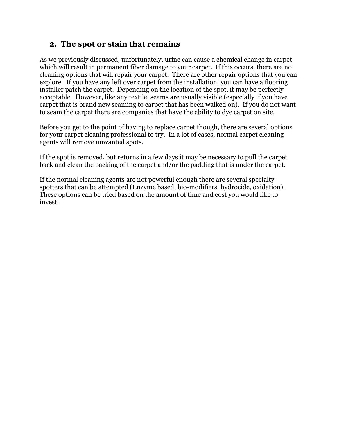#### **2. The spot or stain that remains**

As we previously discussed, unfortunately, urine can cause a chemical change in carpet which will result in permanent fiber damage to your carpet. If this occurs, there are no cleaning options that will repair your carpet. There are other repair options that you can explore. If you have any left over carpet from the installation, you can have a flooring installer patch the carpet. Depending on the location of the spot, it may be perfectly acceptable. However, like any textile, seams are usually visible (especially if you have carpet that is brand new seaming to carpet that has been walked on). If you do not want to seam the carpet there are companies that have the ability to dye carpet on site.

Before you get to the point of having to replace carpet though, there are several options for your carpet cleaning professional to try. In a lot of cases, normal carpet cleaning agents will remove unwanted spots.

If the spot is removed, but returns in a few days it may be necessary to pull the carpet back and clean the backing of the carpet and/or the padding that is under the carpet.

If the normal cleaning agents are not powerful enough there are several specialty spotters that can be attempted (Enzyme based, bio-modifiers, hydrocide, oxidation). These options can be tried based on the amount of time and cost you would like to invest.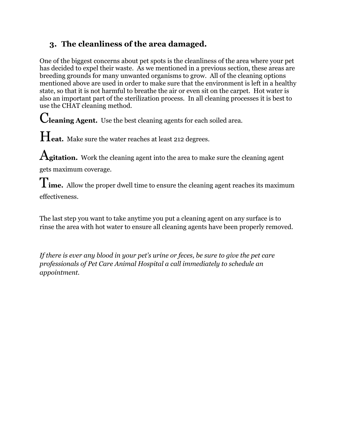## **3. The cleanliness of the area damaged.**

One of the biggest concerns about pet spots is the cleanliness of the area where your pet has decided to expel their waste. As we mentioned in a previous section, these areas are breeding grounds for many unwanted organisms to grow. All of the cleaning options mentioned above are used in order to make sure that the environment is left in a healthy state, so that it is not harmful to breathe the air or even sit on the carpet. Hot water is also an important part of the sterilization process. In all cleaning processes it is best to use the CHAT cleaning method.

C**leaning Agent.** Use the best cleaning agents for each soiled area.

Heat. Make sure the water reaches at least 212 degrees.

A**gitation.** Work the cleaning agent into the area to make sure the cleaning agent gets maximum coverage.

T**ime.** Allow the proper dwell time to ensure the cleaning agent reaches its maximum effectiveness.

The last step you want to take anytime you put a cleaning agent on any surface is to rinse the area with hot water to ensure all cleaning agents have been properly removed.

*If there is ever any blood in your pet's urine or feces, be sure to give the pet care professionals of Pet Care Animal Hospital a call immediately to schedule an appointment.*